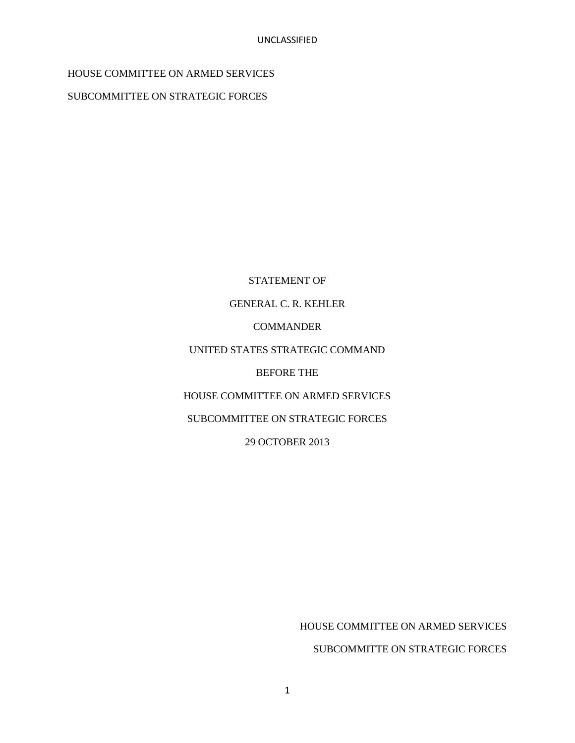# HOUSE COMMITTEE ON ARMED SERVICES

SUBCOMMITTEE ON STRATEGIC FORCES

STATEMENT OF GENERAL C. R. KEHLER **COMMANDER** UNITED STATES STRATEGIC COMMAND BEFORE THE HOUSE COMMITTEE ON ARMED SERVICES SUBCOMMITTEE ON STRATEGIC FORCES 29 OCTOBER 2013

HOUSE COMMITTEE ON ARMED SERVICES

SUBCOMMITTE ON STRATEGIC FORCES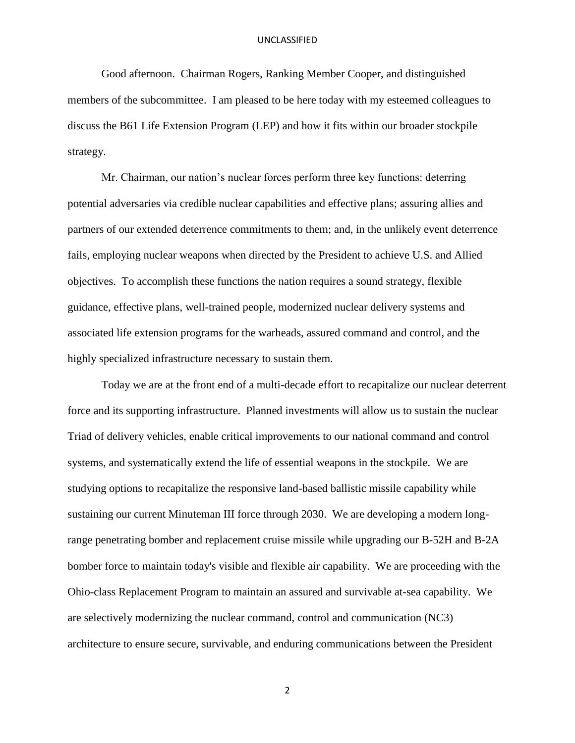Good afternoon. Chairman Rogers, Ranking Member Cooper, and distinguished members of the subcommittee. I am pleased to be here today with my esteemed colleagues to discuss the B61 Life Extension Program (LEP) and how it fits within our broader stockpile strategy.

Mr. Chairman, our nation's nuclear forces perform three key functions: deterring potential adversaries via credible nuclear capabilities and effective plans; assuring allies and partners of our extended deterrence commitments to them; and, in the unlikely event deterrence fails, employing nuclear weapons when directed by the President to achieve U.S. and Allied objectives. To accomplish these functions the nation requires a sound strategy, flexible guidance, effective plans, well-trained people, modernized nuclear delivery systems and associated life extension programs for the warheads, assured command and control, and the highly specialized infrastructure necessary to sustain them.

Today we are at the front end of a multi-decade effort to recapitalize our nuclear deterrent force and its supporting infrastructure. Planned investments will allow us to sustain the nuclear Triad of delivery vehicles, enable critical improvements to our national command and control systems, and systematically extend the life of essential weapons in the stockpile. We are studying options to recapitalize the responsive land-based ballistic missile capability while sustaining our current Minuteman III force through 2030. We are developing a modern longrange penetrating bomber and replacement cruise missile while upgrading our B-52H and B-2A bomber force to maintain today's visible and flexible air capability. We are proceeding with the Ohio-class Replacement Program to maintain an assured and survivable at-sea capability. We are selectively modernizing the nuclear command, control and communication (NC3) architecture to ensure secure, survivable, and enduring communications between the President

2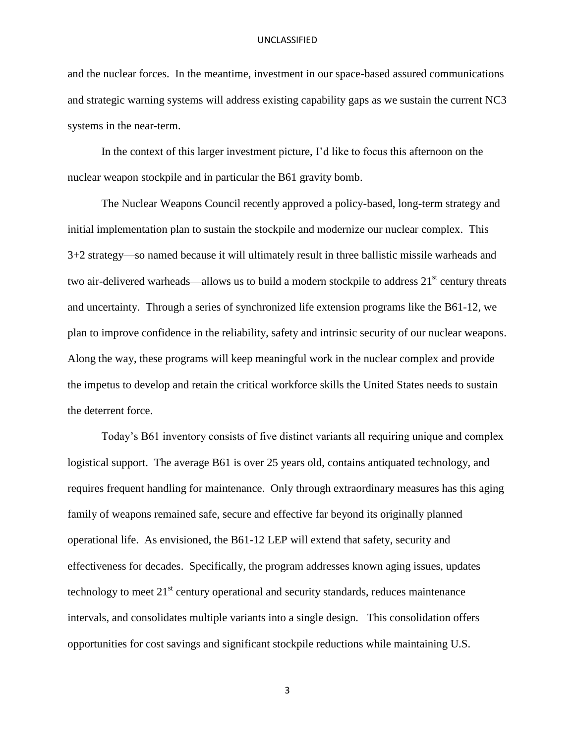and the nuclear forces. In the meantime, investment in our space-based assured communications and strategic warning systems will address existing capability gaps as we sustain the current NC3 systems in the near-term.

In the context of this larger investment picture, I'd like to focus this afternoon on the nuclear weapon stockpile and in particular the B61 gravity bomb.

The Nuclear Weapons Council recently approved a policy-based, long-term strategy and initial implementation plan to sustain the stockpile and modernize our nuclear complex. This 3+2 strategy—so named because it will ultimately result in three ballistic missile warheads and two air-delivered warheads—allows us to build a modern stockpile to address  $21<sup>st</sup>$  century threats and uncertainty. Through a series of synchronized life extension programs like the B61-12, we plan to improve confidence in the reliability, safety and intrinsic security of our nuclear weapons. Along the way, these programs will keep meaningful work in the nuclear complex and provide the impetus to develop and retain the critical workforce skills the United States needs to sustain the deterrent force.

Today's B61 inventory consists of five distinct variants all requiring unique and complex logistical support. The average B61 is over 25 years old, contains antiquated technology, and requires frequent handling for maintenance. Only through extraordinary measures has this aging family of weapons remained safe, secure and effective far beyond its originally planned operational life. As envisioned, the B61-12 LEP will extend that safety, security and effectiveness for decades. Specifically, the program addresses known aging issues, updates technology to meet  $21<sup>st</sup>$  century operational and security standards, reduces maintenance intervals, and consolidates multiple variants into a single design. This consolidation offers opportunities for cost savings and significant stockpile reductions while maintaining U.S.

3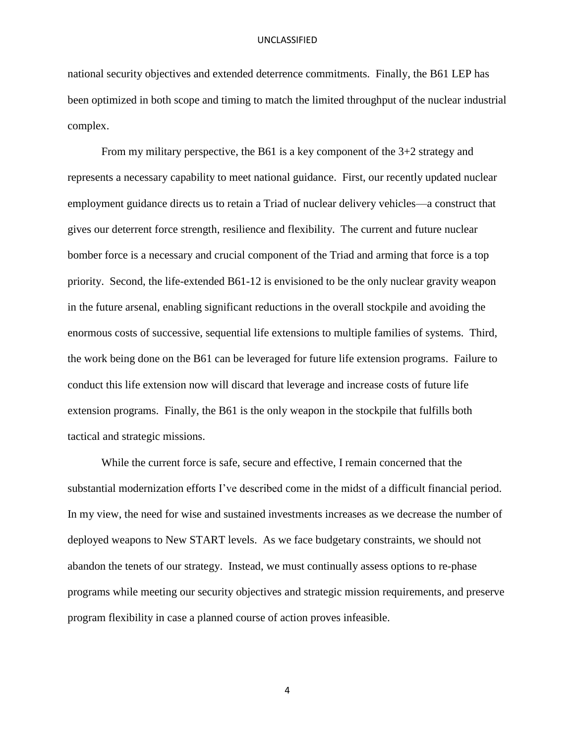national security objectives and extended deterrence commitments. Finally, the B61 LEP has been optimized in both scope and timing to match the limited throughput of the nuclear industrial complex.

From my military perspective, the B61 is a key component of the 3+2 strategy and represents a necessary capability to meet national guidance. First, our recently updated nuclear employment guidance directs us to retain a Triad of nuclear delivery vehicles—a construct that gives our deterrent force strength, resilience and flexibility. The current and future nuclear bomber force is a necessary and crucial component of the Triad and arming that force is a top priority. Second, the life-extended B61-12 is envisioned to be the only nuclear gravity weapon in the future arsenal, enabling significant reductions in the overall stockpile and avoiding the enormous costs of successive, sequential life extensions to multiple families of systems. Third, the work being done on the B61 can be leveraged for future life extension programs. Failure to conduct this life extension now will discard that leverage and increase costs of future life extension programs. Finally, the B61 is the only weapon in the stockpile that fulfills both tactical and strategic missions.

While the current force is safe, secure and effective, I remain concerned that the substantial modernization efforts I've described come in the midst of a difficult financial period. In my view, the need for wise and sustained investments increases as we decrease the number of deployed weapons to New START levels. As we face budgetary constraints, we should not abandon the tenets of our strategy. Instead, we must continually assess options to re-phase programs while meeting our security objectives and strategic mission requirements, and preserve program flexibility in case a planned course of action proves infeasible.

4